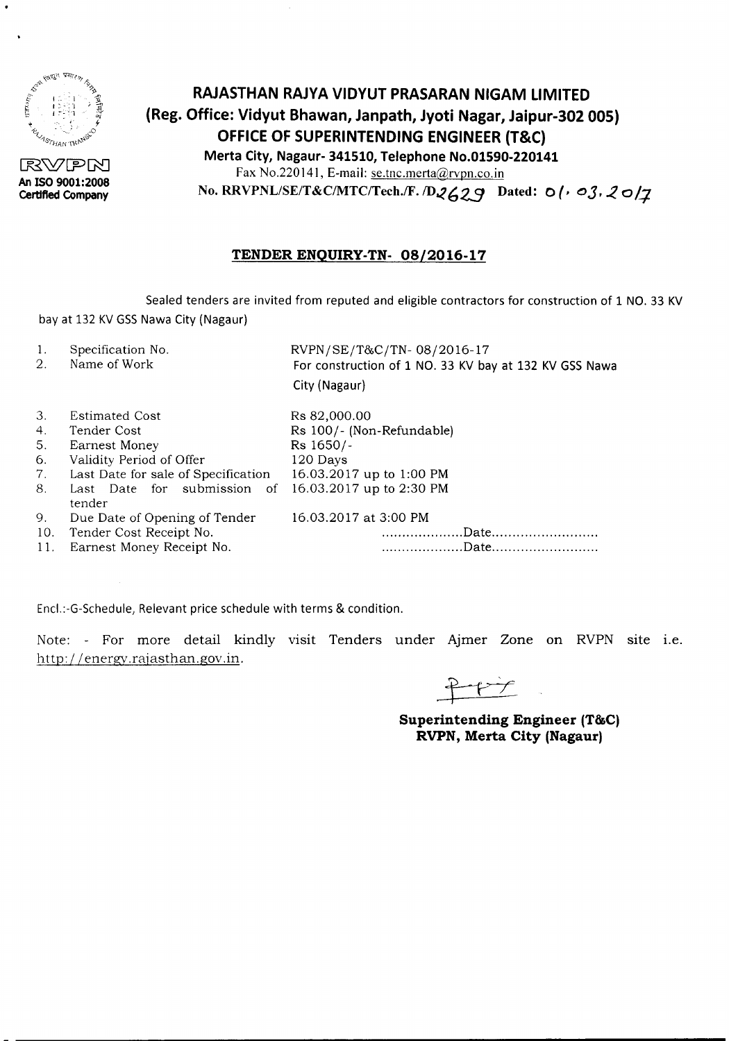

 $\bullet$ 

RVPM **An ISO 9001:2008 Certified Company**

# **RAJASTHAN RAJYA VIDYUT PRASARAN NIGAM LIMITED (Reg. Office: Vidyut Bhawan, Janpath, Jyoti Nagar, Jaipur-302 005) OFFICE OF SUPERINTENDING ENGINEER (T&C) Merta City, Nagaur- 341510, Telephone No.01590-220141** Fax No.220141, E-mail: se.tnc.merta@rvpn.co.in No. RRVPNL/SE/T&C/MTC/Tech./F. /D2629 Dated: 0( $\cdot$  03, 20/7

## **TENDER ENQUIRY-TN- 08/2016-17**

Sealed tenders are invited from reputed and eligible contractors for construction of 1 NO. 33 KV bay at 132 KV GSS Nawa City (Nagaur)

- 1. Specification No.
- 2. Name of Work

RVPN/SE/T&C/TN- 08/2016-17 For construction of 1 NO. 33 KV bay at 132 KV GSS Nawa City (Nagaur)

| 3.  | <b>Estimated Cost</b>                                          | Rs 82,000.00              |
|-----|----------------------------------------------------------------|---------------------------|
| 4.  | Tender Cost                                                    | Rs 100/- (Non-Refundable) |
| 5.  | Earnest Money                                                  | Rs 1650/-                 |
| 6.  | Validity Period of Offer                                       | 120 Days                  |
| 7.  | Last Date for sale of Specification 16.03.2017 up to 1:00 PM   |                           |
| 8.  | Last Date for submission of 16.03.2017 up to 2:30 PM<br>tender |                           |
| 9.  | Due Date of Opening of Tender                                  | 16.03.2017 at 3:00 PM     |
| 10. | Tender Cost Receipt No.                                        |                           |
| 11. | Earnest Money Receipt No.                                      |                           |
|     |                                                                |                           |

Encl.:-G-Schedule, Relevant price schedule with terms & condition.

Note: - For more detail kindly visit Tenders under Ajmer Zone on RVPN site i.e. http://energy.rajasthan.gov.in.

**Superintending Engineer (T&C) RVPN, Merta City (Nagaur)**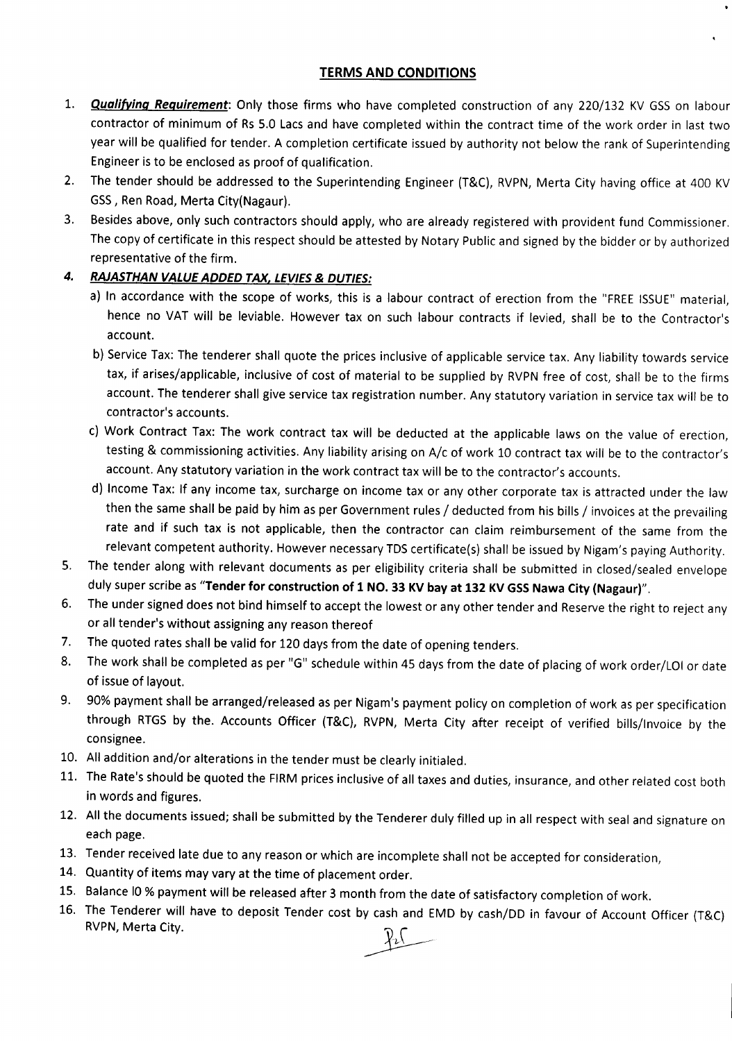### TERMS AND CONDITIONS

- 1. **Qualifying Requirement**: Only those firms who have completed construction of any 220/132 KV GSS on labour contractor of minimum of Rs 5.0 Lacs and have completed within the contract time of the work order in last two year will be qualified for tender. A completion certificate issued by authority not below the rank of Superintending Engineer is to be enclosed as proof of qualification.
- 2. The tender should be addressed to the Superintending Engineer (T&C), RVPN, Merta City having office at 400 KV GSS, Ren Road, Merta City(Nagaur).
- 3. Besides above, only such contractors should apply, who are already registered with provident fund Commissioner. The copy of certificate in this respect should be attested by Notary Public and signed by the bidder or by authorized representative of the firm.

## *4. RAJASTHAN VALUE ADDED TAX, LEVIES*& *DUTIES:*

- a) In accordance with the scope of works, this is a labour contract of erection from the "FREE ISSUE" material, hence no VAT will be leviable. However tax on such labour contracts if levied, shall be to the Contractor's account.
- b) Service Tax: The tenderer shall quote the prices inclusive of applicable service tax. Any liability towards service tax, if arises/applicable, inclusive of cost of material to be supplied by RVPN free of cost, shall be to the firms account. The tenderer shall give service tax registration number. Any statutory variation in service tax will be to contractor's accounts.
- c) Work Contract Tax: The work contract tax will be deducted at the applicable laws on the value of erection, testing & commissioning activities. Any liability arising on A/c of work 10 contract tax will be to the contractor's account. Any statutory variation in the work contract tax will be to the contractor's accounts.
- d) Income Tax: If any income tax, surcharge on income tax or any other corporate tax is attracted under the law then the same shall be paid by him as per Government rules / deducted from his bills / invoices at the prevailing rate and if such tax is not applicable, then the contractor can claim reimbursement of the same from the relevant competent authority. However necessary TDS certificate(s) shall be issued by Nigam's paying Authority.
- 5. The tender along with relevant documents as per eligibility criteria shall be submitted in closed/sealed envelope duly super scribe as "Tender for construction of 1 NO. 33 KV bay at 132 KV GSS Nawa City (Nagaur)".
- 6. The under signed does not bind himself to accept the lowest or any other tender and Reserve the right to reject any or all tender's without assigning any reason thereof
- 7. The quoted rates shall be valid for 120 days from the date of opening tenders.
- 8. The work shall be completed as per "G" schedule within 45 days from the date of placing of work order/LOI or date of issue of layout.
- 9. 90% payment shall be arranged/released as per Nigam's payment policy on completion of work as per specification through RTGS by the. Accounts Officer (T&C), RVPN, Merta City after receipt of verified bills/Invoice by the consignee.
- 10. All addition and/or alterations in the tender must beclearly initialed.
- 11. The Rate's should be quoted the FIRM prices inclusive of all taxes and duties, insurance, and other related cost both in words and figures.
- 12. All the documents issued; shall be submitted by the Tenderer duly filled up in all respect with sealand signature on each page.
- 13. Tender received late due to any reason or which are incomplete shall not be accepted for consideration,
- 14. Quantity of items may vary at the time of placement order.
- 15. Balance IO % payment will be released after 3 month from the date of satisfactory completion of work.
- 16. The Tenderer will have to deposit Tender cost by cash and EMD by cash/DD in favour of Account Officer (T&C) RVPN, Merta City.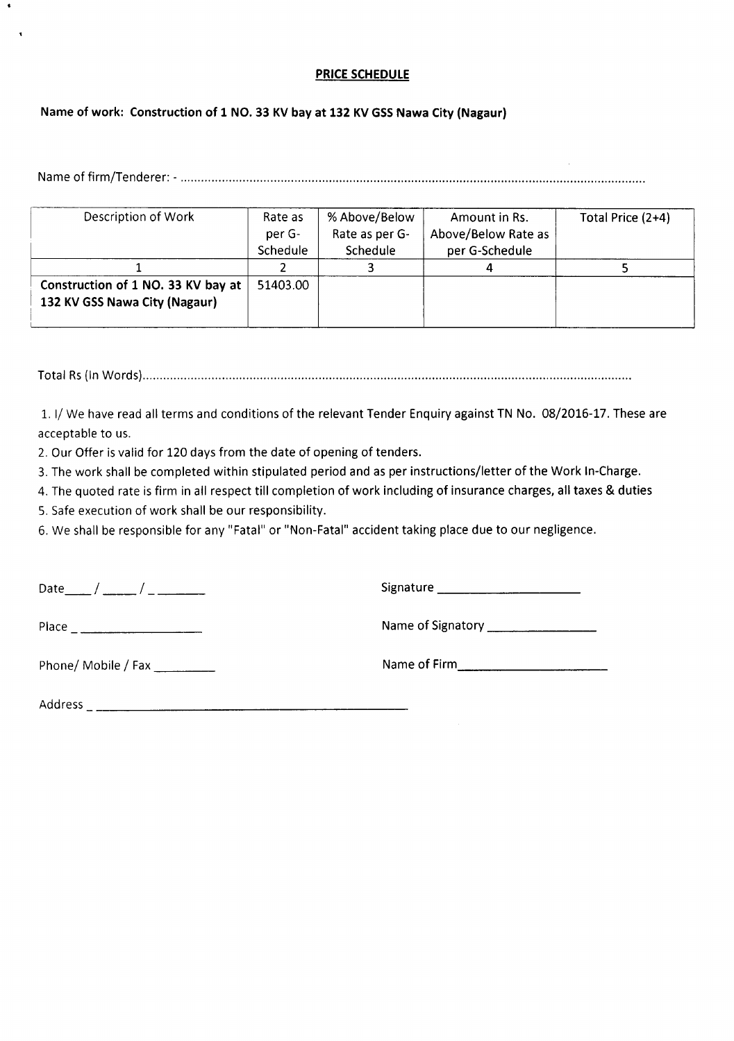### **PRICE SCHEDULE**

### **Name of work: Construction of 1 NO. 33 KV bay at 132 KV GSSNawa City (Nagaur)**

Nameof firm/Tenderer: - ..

| Description of Work                                                 | Rate as<br>per G- | % Above/Below<br>Rate as per G- | Amount in Rs.<br>Above/Below Rate as | Total Price (2+4) |
|---------------------------------------------------------------------|-------------------|---------------------------------|--------------------------------------|-------------------|
|                                                                     | Schedule          | Schedule                        | per G-Schedule                       |                   |
|                                                                     |                   |                                 |                                      |                   |
| Construction of 1 NO. 33 KV bay at<br>132 KV GSS Nawa City (Nagaur) | 51403.00          |                                 |                                      |                   |

Total Rs(in Words) ..

1. I/ We have read all terms and conditions of the relevant Tender Enquiry against TN No. 08/2016-17. These are acceptable to us.

2. Our Offer is valid for 120 days from the date of opening of tenders.

3. The work shall be completed within stipulated period and as per instructions/letter of the Work In-Charge.

4. The quoted rate is firm in all respect till completion of work including of insurance charges, all taxes & duties

5. Safe execution of work shall be our responsibility.

6. We shall be responsible for any "Fatal" or "Non-Fatal" accident taking placedue to our negligence.

| Date |  |  |
|------|--|--|
|      |  |  |

Date\_\_ / \_\_ I \_ Signature \_

Place Nameof Signatory \_

Phone/ Mobile / Fax \_ Nameof Firm, \_

Address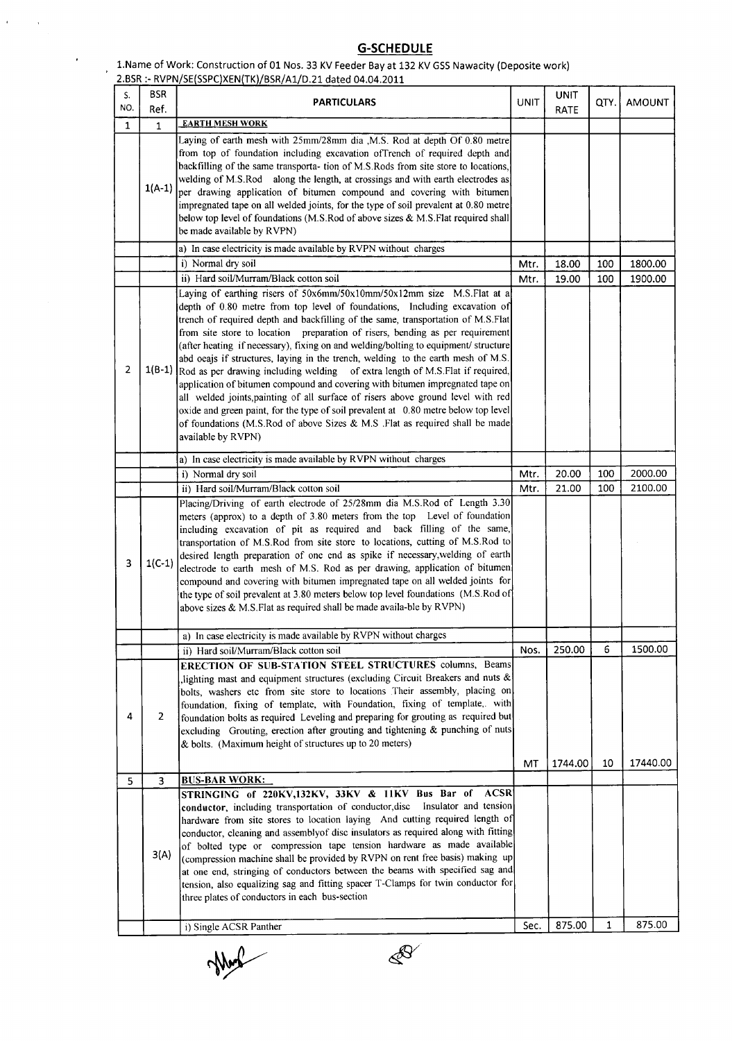#### **G-SCHEDULE**

1.Name of Work: Construction of 01 Nos. 33 KV Feeder Bay at 132 KV GSS Nawacity (Deposite work)

 $\hat{G}$  and  $\hat{G}$ 

 $\bar{t}$ 

|                |                    | 2.BSR :- RVPN/SE(SSPC)XEN(TK)/BSR/A1/D.21 dated 04.04.2011                                                                                                                                                                                                                                                                                                                                                                                                                                                                                                                                                                                                                                                                                                                                                                                                                                                                                                       |            |                     |              |                     |
|----------------|--------------------|------------------------------------------------------------------------------------------------------------------------------------------------------------------------------------------------------------------------------------------------------------------------------------------------------------------------------------------------------------------------------------------------------------------------------------------------------------------------------------------------------------------------------------------------------------------------------------------------------------------------------------------------------------------------------------------------------------------------------------------------------------------------------------------------------------------------------------------------------------------------------------------------------------------------------------------------------------------|------------|---------------------|--------------|---------------------|
| S.<br>NO.      | <b>BSR</b><br>Ref. | <b>PARTICULARS</b>                                                                                                                                                                                                                                                                                                                                                                                                                                                                                                                                                                                                                                                                                                                                                                                                                                                                                                                                               | UNIT       | <b>UNIT</b><br>RATE | QTY.         | <b>AMOUNT</b>       |
| $\mathbf{1}$   | 1                  | <b>EARTH MESH WORK</b>                                                                                                                                                                                                                                                                                                                                                                                                                                                                                                                                                                                                                                                                                                                                                                                                                                                                                                                                           |            |                     |              |                     |
|                | $1(A-1)$           | Laying of earth mesh with 25mm/28mm dia , M.S. Rod at depth Of 0.80 metre<br>from top of foundation including excavation ofTrench of required depth and<br>backfilling of the same transporta- tion of M.S.Rods from site store to locations,<br>welding of M.S.Rod along the length, at crossings and with earth electrodes as<br>per drawing application of bitumen compound and covering with bitumen<br>impregnated tape on all welded joints, for the type of soil prevalent at 0.80 metre<br>below top level of foundations (M.S.Rod of above sizes & M.S.Flat required shall<br>be made available by RVPN)                                                                                                                                                                                                                                                                                                                                                |            |                     |              |                     |
|                |                    | a) In case electricity is made available by RVPN without charges                                                                                                                                                                                                                                                                                                                                                                                                                                                                                                                                                                                                                                                                                                                                                                                                                                                                                                 |            |                     |              |                     |
|                |                    | i) Normal dry soil                                                                                                                                                                                                                                                                                                                                                                                                                                                                                                                                                                                                                                                                                                                                                                                                                                                                                                                                               | Mtr.       | 18.00               | 100          | 1800.00             |
|                |                    | ii) Hard soil/Murram/Black cotton soil                                                                                                                                                                                                                                                                                                                                                                                                                                                                                                                                                                                                                                                                                                                                                                                                                                                                                                                           | Mtr.       | 19.00               | 100          | 1900.00             |
| $\overline{2}$ |                    | Laying of earthing risers of 50x6mm/50x10mm/50x12mm size M.S.Flat at a<br>depth of 0.80 metre from top level of foundations, Including excavation of<br>trench of required depth and backfilling of the same, transportation of M.S.Flat<br>from site store to location preparation of risers, bending as per requirement<br>(after heating if necessary), fixing on and welding/bolting to equipment/ structure<br>abd oeajs if structures, laying in the trench, welding to the earth mesh of M.S.<br>$1(B-1)$ Rod as per drawing including welding of extra length of M.S.Flat if required,<br>application of bitumen compound and covering with bitumen impregnated tape on<br>all welded joints, painting of all surface of risers above ground level with red<br>oxide and green paint, for the type of soil prevalent at 0.80 metre below top level<br>of foundations (M.S.Rod of above Sizes & M.S. Flat as required shall be made<br>available by RVPN) |            |                     |              |                     |
|                |                    | a) In case electricity is made available by RVPN without charges                                                                                                                                                                                                                                                                                                                                                                                                                                                                                                                                                                                                                                                                                                                                                                                                                                                                                                 |            |                     |              |                     |
|                |                    | i) Normal dry soil                                                                                                                                                                                                                                                                                                                                                                                                                                                                                                                                                                                                                                                                                                                                                                                                                                                                                                                                               | Mtr.       | 20.00               | 100          | 2000.00             |
|                |                    | ii) Hard soil/Murram/Black cotton soil                                                                                                                                                                                                                                                                                                                                                                                                                                                                                                                                                                                                                                                                                                                                                                                                                                                                                                                           | Mtr.       | 21.00               | 100          | 2100.00             |
| 3              | $1(C-1)$           | Placing/Driving of earth electrode of 25/28mm dia M.S.Rod of Length 3.30<br>meters (approx) to a depth of 3.80 meters from the top Level of foundation<br>including excavation of pit as required and back filling of the same,<br>transportation of M.S.Rod from site store to locations, cutting of M.S.Rod to<br>desired length preparation of one end as spike if necessary, welding of earth<br>electrode to earth mesh of M.S. Rod as per drawing, application of bitumen<br>compound and covering with bitumen impregnated tape on all welded joints for<br>the type of soil prevalent at 3.80 meters below top level foundations (M.S.Rod of<br>above sizes & M.S.Flat as required shall be made availa-ble by RVPN)                                                                                                                                                                                                                                     |            |                     |              |                     |
|                |                    | a) In case electricity is made available by RVPN without charges                                                                                                                                                                                                                                                                                                                                                                                                                                                                                                                                                                                                                                                                                                                                                                                                                                                                                                 |            |                     |              |                     |
| 4              | 2                  | ii) Hard soil/Murram/Black cotton soil<br><b>ERECTION OF SUB-STATION STEEL STRUCTURES columns, Beams</b><br>, lighting mast and equipment structures (excluding Circuit Breakers and nuts &<br>bolts, washers etc from site store to locations Their assembly, placing on<br>foundation, fixing of template, with Foundation, fixing of template,. with<br>foundation bolts as required Leveling and preparing for grouting as required but<br>excluding Grouting, erection after grouting and tightening & punching of nuts<br>& bolts. (Maximum height of structures up to 20 meters)                                                                                                                                                                                                                                                                                                                                                                          | Nos.<br>MT | 250.00<br>1744.00   | 6<br>10      | 1500.00<br>17440.00 |
| 5              | 3                  | <b>BUS-BAR WORK:</b>                                                                                                                                                                                                                                                                                                                                                                                                                                                                                                                                                                                                                                                                                                                                                                                                                                                                                                                                             |            |                     |              |                     |
|                | 3(A)               | STRINGING of 220KV, 132KV, 33KV & 11KV Bus Bar of<br><b>ACSR</b><br>Insulator and tension<br>conductor, including transportation of conductor, disc<br>hardware from site stores to location laying And cutting required length of<br>conductor, cleaning and assembly of disc insulators as required along with fitting<br>of bolted type or compression tape tension hardware as made available<br>(compression machine shall be provided by RVPN on rent free basis) making up<br>at one end, stringing of conductors between the beams with specified sag and<br>tension, also equalizing sag and fitting spacer T-Clamps for twin conductor for<br>three plates of conductors in each bus-section                                                                                                                                                                                                                                                           |            |                     | $\mathbf{1}$ | 875.00              |
|                |                    | i) Single ACSR Panther                                                                                                                                                                                                                                                                                                                                                                                                                                                                                                                                                                                                                                                                                                                                                                                                                                                                                                                                           | Sec.       | 875.00              |              |                     |

Mag

 $\mathscr{B}$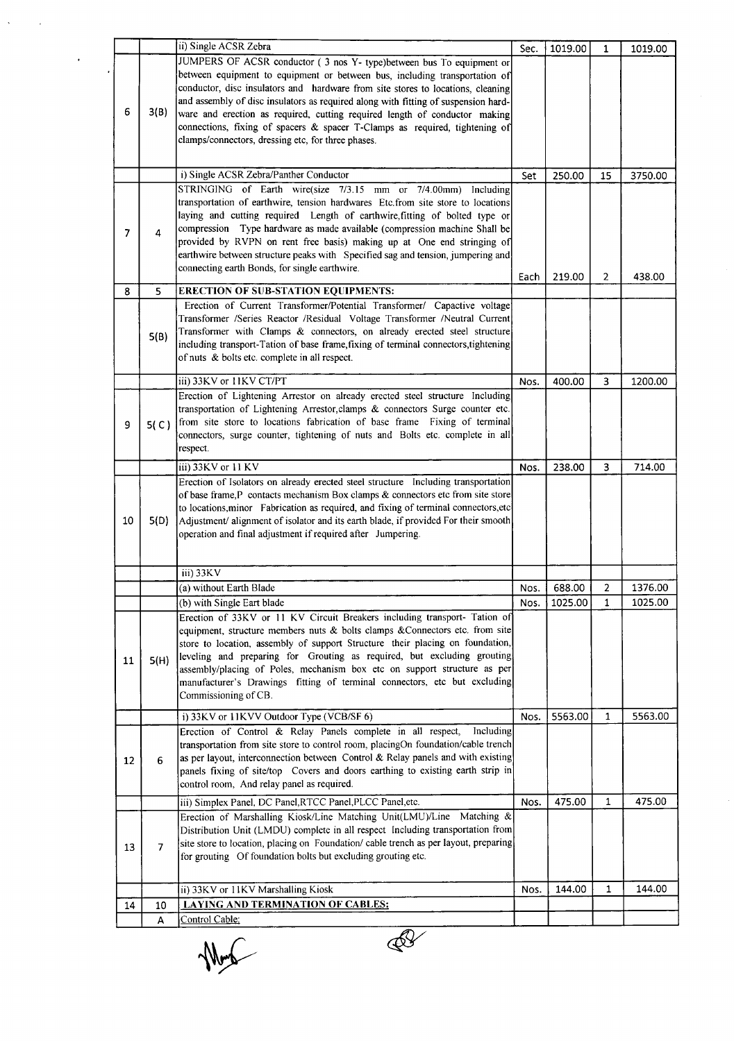| 6              | 3(B)           | ii) Single ACSR Zebra<br>JUMPERS OF ACSR conductor (3 nos Y- type) between bus To equipment or<br>between equipment to equipment or between bus, including transportation of<br>conductor, disc insulators and hardware from site stores to locations, cleaning<br>and assembly of disc insulators as required along with fitting of suspension hard-<br>ware and erection as required, cutting required length of conductor making<br>connections, fixing of spacers & spacer T-Clamps as required, tightening of<br>clamps/connectors, dressing etc, for three phases. | Sec. | 1019.00 | $\mathbf{1}$   | 1019.00 |
|----------------|----------------|--------------------------------------------------------------------------------------------------------------------------------------------------------------------------------------------------------------------------------------------------------------------------------------------------------------------------------------------------------------------------------------------------------------------------------------------------------------------------------------------------------------------------------------------------------------------------|------|---------|----------------|---------|
|                |                | i) Single ACSR Zebra/Panther Conductor                                                                                                                                                                                                                                                                                                                                                                                                                                                                                                                                   | Set  | 250.00  | 15             | 3750.00 |
| $\overline{7}$ | 4              | STRINGING of Earth wire(size 7/3.15 mm or 7/4.00mm) Including<br>transportation of earthwire, tension hardwares Etc.from site store to locations<br>laying and cutting required Length of earthwire, fitting of bolted type or<br>compression Type hardware as made available (compression machine Shall be<br>provided by RVPN on rent free basis) making up at One end stringing of<br>earthwire between structure peaks with Specified sag and tension, jumpering and<br>connecting earth Bonds, for single earthwire.                                                | Each | 219.00  | $\overline{2}$ | 438.00  |
| 8              | 5              | <b>ERECTION OF SUB-STATION EQUIPMENTS:</b>                                                                                                                                                                                                                                                                                                                                                                                                                                                                                                                               |      |         |                |         |
|                | 5(B)           | Erection of Current Transformer/Potential Transformer/ Capactive voltage<br>Transformer /Series Reactor /Residual Voltage Transformer /Neutral Current<br>Transformer with Clamps & connectors, on already erected steel structure<br>including transport-Tation of base frame, fixing of terminal connectors, tightening<br>of nuts & bolts etc. complete in all respect.                                                                                                                                                                                               |      |         |                |         |
|                |                | iii) 33KV or 11KV CT/PT                                                                                                                                                                                                                                                                                                                                                                                                                                                                                                                                                  | Nos. | 400.00  | 3              | 1200.00 |
| 9              | 5(C)           | Erection of Lightening Arrestor on already erected steel structure Including<br>transportation of Lightening Arrestor, clamps & connectors Surge counter etc.<br>from site store to locations fabrication of base frame Fixing of terminal<br>connectors, surge counter, tightening of nuts and Bolts etc. complete in all<br>respect.                                                                                                                                                                                                                                   |      |         |                |         |
|                |                | iii) 33KV or 11 KV                                                                                                                                                                                                                                                                                                                                                                                                                                                                                                                                                       | Nos. | 238.00  | 3              | 714.00  |
| 10             | 5(D)           | Erection of Isolators on already erected steel structure Including transportation<br>of base frame, P contacts mechanism Box clamps & connectors etc from site store<br>to locations, minor Fabrication as required, and fixing of terminal connectors, etc<br>Adjustment/ alignment of isolator and its earth blade, if provided For their smooth<br>operation and final adjustment if required after Jumpering.                                                                                                                                                        |      |         |                |         |
|                |                | iii) 33KV                                                                                                                                                                                                                                                                                                                                                                                                                                                                                                                                                                |      |         |                |         |
|                |                | (a) without Earth Blade                                                                                                                                                                                                                                                                                                                                                                                                                                                                                                                                                  | Nos. | 688.00  | $\overline{2}$ | 1376.00 |
| 11             | 5(H)           | (b) with Single Eart blade<br>Erection of 33KV or 11 KV Circuit Breakers including transport- Tation of<br>equipment, structure members nuts & bolts clamps & Connectors etc. from site<br>store to location, assembly of support Structure their placing on foundation,<br>leveling and preparing for Grouting as required, but excluding grouting<br>assembly/placing of Poles, mechanism box etc on support structure as per<br>manufacturer's Drawings fitting of terminal connectors, etc but excluding<br>Commissioning of CB.                                     | Nos. | 1025.00 | $\mathbf{1}$   | 1025.00 |
|                |                | i) 33KV or 11KVV Outdoor Type (VCB/SF 6)                                                                                                                                                                                                                                                                                                                                                                                                                                                                                                                                 | Nos. | 5563.00 | $\mathbf{1}$   | 5563.00 |
| 12             | 6              | Erection of Control & Relay Panels complete in all respect,<br>Including<br>transportation from site store to control room, placingOn foundation/cable trench<br>as per layout, interconnection between Control & Relay panels and with existing<br>panels fixing of site/top Covers and doors earthing to existing earth strip in<br>control room, And relay panel as required.                                                                                                                                                                                         |      |         |                |         |
|                |                | iii) Simplex Panel, DC Panel, RTCC Panel, PLCC Panel, etc.                                                                                                                                                                                                                                                                                                                                                                                                                                                                                                               | Nos. | 475.00  | 1              | 475.00  |
| 13             | $\overline{7}$ | Erection of Marshalling Kiosk/Line Matching Unit(LMU)/Line Matching &<br>Distribution Unit (LMDU) complete in all respect Including transportation from<br>site store to location, placing on Foundation/ cable trench as per layout, preparing<br>for grouting Of foundation bolts but excluding grouting etc.                                                                                                                                                                                                                                                          |      |         |                |         |
|                |                | ii) 33KV or 11KV Marshalling Kiosk                                                                                                                                                                                                                                                                                                                                                                                                                                                                                                                                       | Nos. | 144.00  | 1              | 144.00  |
| 14             | 10             | <b>LAYING AND TERMINATION OF CABLES:</b>                                                                                                                                                                                                                                                                                                                                                                                                                                                                                                                                 |      |         |                |         |
|                | A              | Control Cable:                                                                                                                                                                                                                                                                                                                                                                                                                                                                                                                                                           |      |         |                |         |

 $\frac{1}{\sqrt{1-\epsilon}}$ 

 $\overline{\mathbb{R}^2}$